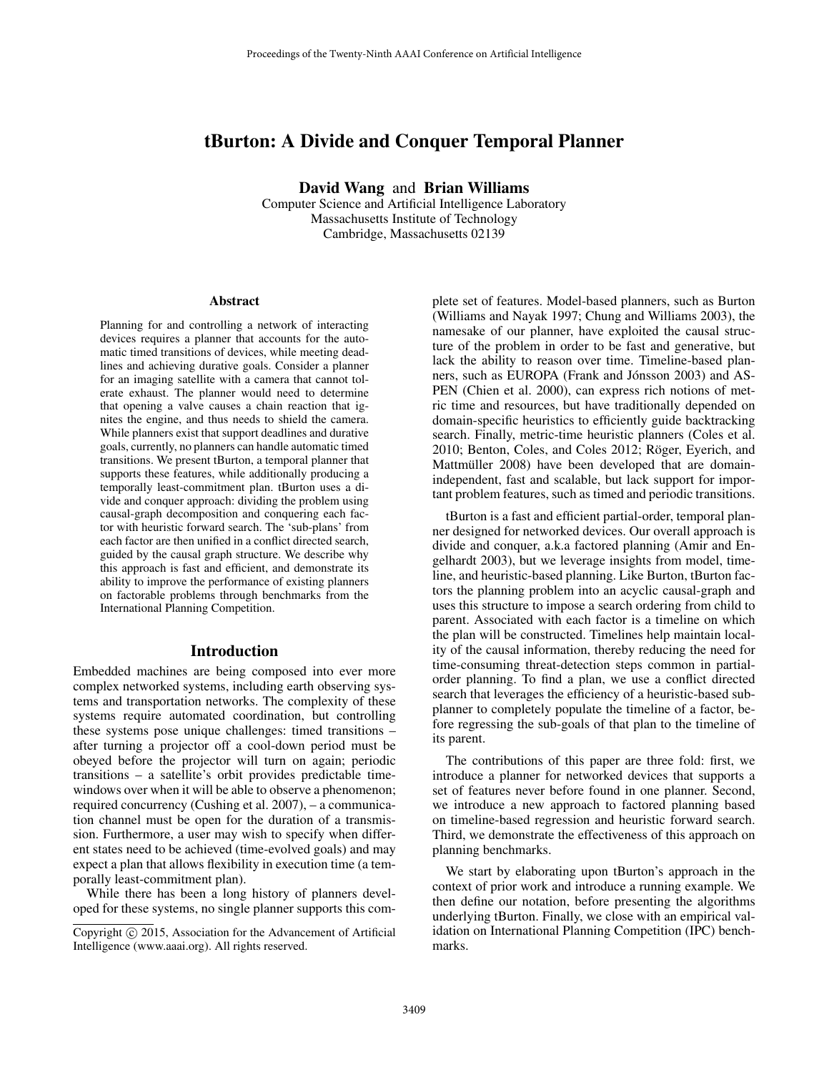# tBurton: A Divide and Conquer Temporal Planner

David Wang and Brian Williams

Computer Science and Artificial Intelligence Laboratory Massachusetts Institute of Technology Cambridge, Massachusetts 02139

#### Abstract

Planning for and controlling a network of interacting devices requires a planner that accounts for the automatic timed transitions of devices, while meeting deadlines and achieving durative goals. Consider a planner for an imaging satellite with a camera that cannot tolerate exhaust. The planner would need to determine that opening a valve causes a chain reaction that ignites the engine, and thus needs to shield the camera. While planners exist that support deadlines and durative goals, currently, no planners can handle automatic timed transitions. We present tBurton, a temporal planner that supports these features, while additionally producing a temporally least-commitment plan. tBurton uses a divide and conquer approach: dividing the problem using causal-graph decomposition and conquering each factor with heuristic forward search. The 'sub-plans' from each factor are then unified in a conflict directed search, guided by the causal graph structure. We describe why this approach is fast and efficient, and demonstrate its ability to improve the performance of existing planners on factorable problems through benchmarks from the International Planning Competition.

#### Introduction

Embedded machines are being composed into ever more complex networked systems, including earth observing systems and transportation networks. The complexity of these systems require automated coordination, but controlling these systems pose unique challenges: timed transitions – after turning a projector off a cool-down period must be obeyed before the projector will turn on again; periodic transitions – a satellite's orbit provides predictable timewindows over when it will be able to observe a phenomenon; required concurrency (Cushing et al. 2007), – a communication channel must be open for the duration of a transmission. Furthermore, a user may wish to specify when different states need to be achieved (time-evolved goals) and may expect a plan that allows flexibility in execution time (a temporally least-commitment plan).

While there has been a long history of planners developed for these systems, no single planner supports this complete set of features. Model-based planners, such as Burton (Williams and Nayak 1997; Chung and Williams 2003), the namesake of our planner, have exploited the causal structure of the problem in order to be fast and generative, but lack the ability to reason over time. Timeline-based planners, such as EUROPA (Frank and Jónsson 2003) and AS-PEN (Chien et al. 2000), can express rich notions of metric time and resources, but have traditionally depended on domain-specific heuristics to efficiently guide backtracking search. Finally, metric-time heuristic planners (Coles et al. 2010; Benton, Coles, and Coles 2012; Röger, Eyerich, and Mattmüller 2008) have been developed that are domainindependent, fast and scalable, but lack support for important problem features, such as timed and periodic transitions.

tBurton is a fast and efficient partial-order, temporal planner designed for networked devices. Our overall approach is divide and conquer, a.k.a factored planning (Amir and Engelhardt 2003), but we leverage insights from model, timeline, and heuristic-based planning. Like Burton, tBurton factors the planning problem into an acyclic causal-graph and uses this structure to impose a search ordering from child to parent. Associated with each factor is a timeline on which the plan will be constructed. Timelines help maintain locality of the causal information, thereby reducing the need for time-consuming threat-detection steps common in partialorder planning. To find a plan, we use a conflict directed search that leverages the efficiency of a heuristic-based subplanner to completely populate the timeline of a factor, before regressing the sub-goals of that plan to the timeline of its parent.

The contributions of this paper are three fold: first, we introduce a planner for networked devices that supports a set of features never before found in one planner. Second, we introduce a new approach to factored planning based on timeline-based regression and heuristic forward search. Third, we demonstrate the effectiveness of this approach on planning benchmarks.

We start by elaborating upon tBurton's approach in the context of prior work and introduce a running example. We then define our notation, before presenting the algorithms underlying tBurton. Finally, we close with an empirical validation on International Planning Competition (IPC) benchmarks.

Copyright (c) 2015, Association for the Advancement of Artificial Intelligence (www.aaai.org). All rights reserved.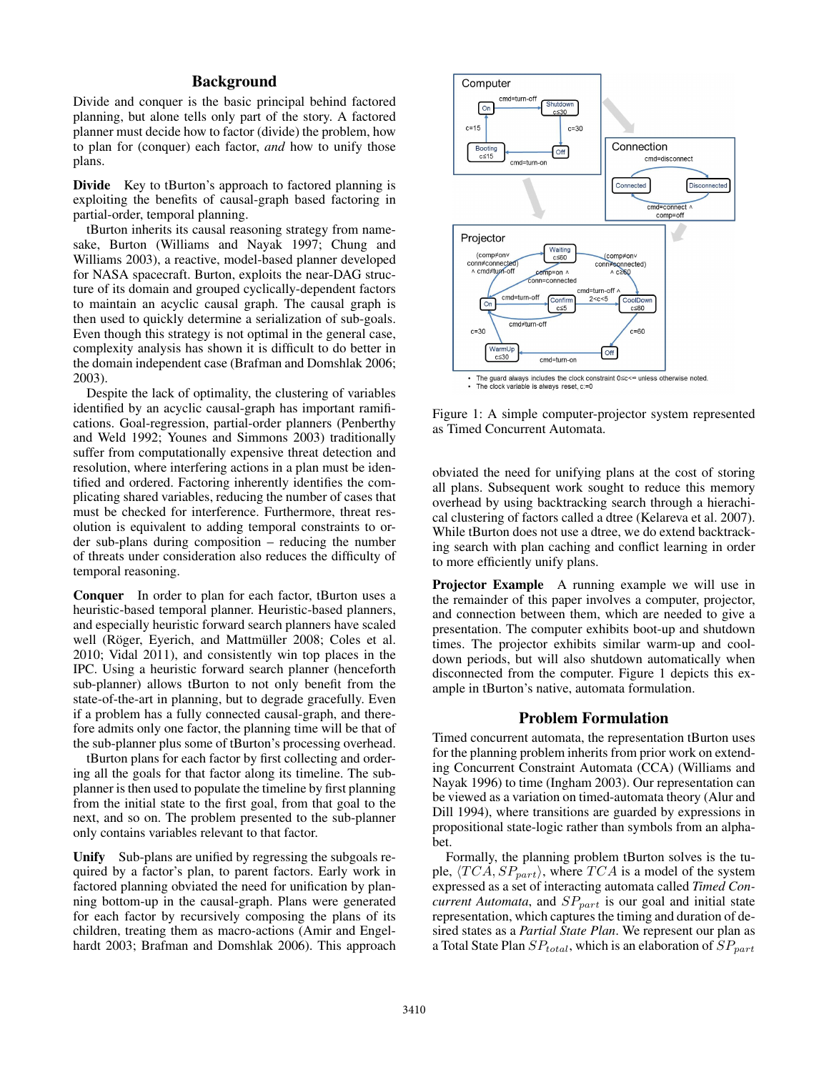## Background

Divide and conquer is the basic principal behind factored planning, but alone tells only part of the story. A factored planner must decide how to factor (divide) the problem, how to plan for (conquer) each factor, *and* how to unify those plans.

Divide Key to tBurton's approach to factored planning is exploiting the benefits of causal-graph based factoring in partial-order, temporal planning.

tBurton inherits its causal reasoning strategy from namesake, Burton (Williams and Nayak 1997; Chung and Williams 2003), a reactive, model-based planner developed for NASA spacecraft. Burton, exploits the near-DAG structure of its domain and grouped cyclically-dependent factors to maintain an acyclic causal graph. The causal graph is then used to quickly determine a serialization of sub-goals. Even though this strategy is not optimal in the general case, complexity analysis has shown it is difficult to do better in the domain independent case (Brafman and Domshlak 2006; 2003).

Despite the lack of optimality, the clustering of variables identified by an acyclic causal-graph has important ramifications. Goal-regression, partial-order planners (Penberthy and Weld 1992; Younes and Simmons 2003) traditionally suffer from computationally expensive threat detection and resolution, where interfering actions in a plan must be identified and ordered. Factoring inherently identifies the complicating shared variables, reducing the number of cases that must be checked for interference. Furthermore, threat resolution is equivalent to adding temporal constraints to order sub-plans during composition – reducing the number of threats under consideration also reduces the difficulty of temporal reasoning.

Conquer In order to plan for each factor, tBurton uses a heuristic-based temporal planner. Heuristic-based planners, and especially heuristic forward search planners have scaled well (Röger, Eyerich, and Mattmüller 2008; Coles et al. 2010; Vidal 2011), and consistently win top places in the IPC. Using a heuristic forward search planner (henceforth sub-planner) allows tBurton to not only benefit from the state-of-the-art in planning, but to degrade gracefully. Even if a problem has a fully connected causal-graph, and therefore admits only one factor, the planning time will be that of the sub-planner plus some of tBurton's processing overhead.

tBurton plans for each factor by first collecting and ordering all the goals for that factor along its timeline. The subplanner is then used to populate the timeline by first planning from the initial state to the first goal, from that goal to the next, and so on. The problem presented to the sub-planner only contains variables relevant to that factor.

Unify Sub-plans are unified by regressing the subgoals required by a factor's plan, to parent factors. Early work in factored planning obviated the need for unification by planning bottom-up in the causal-graph. Plans were generated for each factor by recursively composing the plans of its children, treating them as macro-actions (Amir and Engelhardt 2003; Brafman and Domshlak 2006). This approach



Figure 1: A simple computer-projector system represented as Timed Concurrent Automata.

obviated the need for unifying plans at the cost of storing all plans. Subsequent work sought to reduce this memory overhead by using backtracking search through a hierachical clustering of factors called a dtree (Kelareva et al. 2007). While tBurton does not use a dtree, we do extend backtracking search with plan caching and conflict learning in order to more efficiently unify plans.

Projector Example A running example we will use in the remainder of this paper involves a computer, projector, and connection between them, which are needed to give a presentation. The computer exhibits boot-up and shutdown times. The projector exhibits similar warm-up and cooldown periods, but will also shutdown automatically when disconnected from the computer. Figure 1 depicts this example in tBurton's native, automata formulation.

#### Problem Formulation

Timed concurrent automata, the representation tBurton uses for the planning problem inherits from prior work on extending Concurrent Constraint Automata (CCA) (Williams and Nayak 1996) to time (Ingham 2003). Our representation can be viewed as a variation on timed-automata theory (Alur and Dill 1994), where transitions are guarded by expressions in propositional state-logic rather than symbols from an alphabet.

Formally, the planning problem tBurton solves is the tuple,  $\langle TCA, SP_{part} \rangle$ , where  $TCA$  is a model of the system expressed as a set of interacting automata called *Timed Concurrent Automata*, and  $SP_{part}$  is our goal and initial state representation, which captures the timing and duration of desired states as a *Partial State Plan*. We represent our plan as a Total State Plan  $SP_{total}$ , which is an elaboration of  $SP_{part}$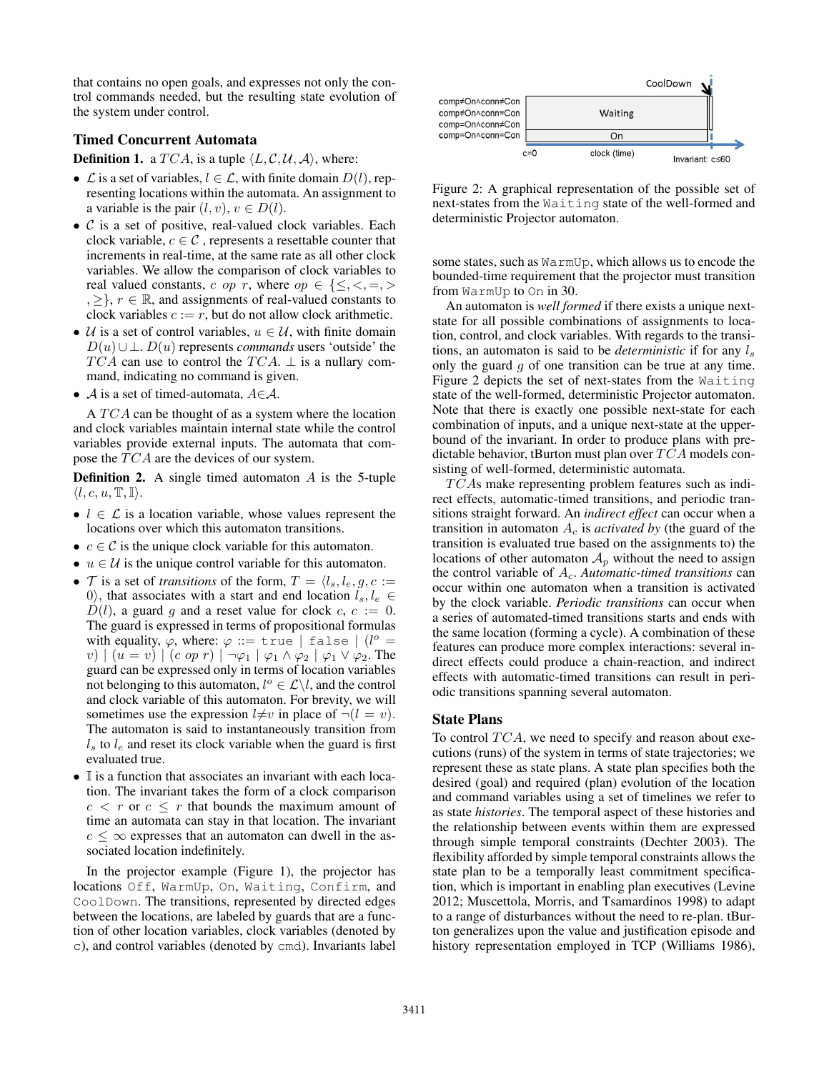that contains no open goals, and expresses not only the control commands needed, but the resulting state evolution of the system under control.

#### Timed Concurrent Automata

**Definition 1.** a  $TCA$ , is a tuple  $\langle L, C, U, A \rangle$ , where:

- $\mathcal L$  is a set of variables,  $l \in \mathcal L$ , with finite domain  $D(l)$ , representing locations within the automata. An assignment to a variable is the pair  $(l, v), v \in D(l)$ .
- $\bullet$   $\mathcal C$  is a set of positive, real-valued clock variables. Each clock variable,  $c \in \mathcal{C}$ , represents a resettable counter that increments in real-time, at the same rate as all other clock variables. We allow the comparison of clock variables to real valued constants, c op r, where  $op \in \{\leq, <, =, >\}$  $, \geq \}, r \in \mathbb{R}$ , and assignments of real-valued constants to clock variables  $c := r$ , but do not allow clock arithmetic.
- U is a set of control variables,  $u \in U$ , with finite domain  $D(u) \cup \perp$ .  $D(u)$  represents *commands* users 'outside' the  $TCA$  can use to control the  $TCA$ .  $\perp$  is a nullary command, indicating no command is given.
- A is a set of timed-automata,  $A \in \mathcal{A}$ .

A  $TCA$  can be thought of as a system where the location and clock variables maintain internal state while the control variables provide external inputs. The automata that compose the  $TCA$  are the devices of our system.

**Definition 2.** A single timed automaton  $\overline{A}$  is the 5-tuple  $\langle l, c, u, \mathbb{T}, \mathbb{I} \rangle.$ 

- $l \in \mathcal{L}$  is a location variable, whose values represent the locations over which this automaton transitions.
- $c \in \mathcal{C}$  is the unique clock variable for this automaton.
- $u \in \mathcal{U}$  is the unique control variable for this automaton.
- T is a set of *transitions* of the form,  $T = \langle l_s, l_e, g, c \rangle$ 0), that associates with a start and end location  $l_s, l_e \in$  $D(l)$ , a guard g and a reset value for clock c,  $c := 0$ . The guard is expressed in terms of propositional formulas with equality,  $\varphi$ , where:  $\varphi ::=$  true | false |  $(l^{\circ} =$ v)  $(u = v)$   $(c \text{ op } r)$   $\neg \varphi_1 \varphi_1 \wedge \varphi_2$   $\neg \varphi_1 \vee \varphi_2$ . The guard can be expressed only in terms of location variables not belonging to this automaton,  $l^{\circ} \in \mathcal{L} \backslash l$ , and the control and clock variable of this automaton. For brevity, we will sometimes use the expression  $l \neq v$  in place of  $\neg (l = v)$ . The automaton is said to instantaneously transition from  $l_s$  to  $l_e$  and reset its clock variable when the guard is first evaluated true.
- $\bullet$  I is a function that associates an invariant with each location. The invariant takes the form of a clock comparison  $c < r$  or  $c \leq r$  that bounds the maximum amount of time an automata can stay in that location. The invariant  $c \leq \infty$  expresses that an automaton can dwell in the associated location indefinitely.

In the projector example (Figure 1), the projector has locations Off, WarmUp, On, Waiting, Confirm, and CoolDown. The transitions, represented by directed edges between the locations, are labeled by guards that are a function of other location variables, clock variables (denoted by c), and control variables (denoted by cmd). Invariants label



Figure 2: A graphical representation of the possible set of next-states from the Waiting state of the well-formed and deterministic Projector automaton.

some states, such as WarmUp, which allows us to encode the bounded-time requirement that the projector must transition from WarmUp to On in 30.

An automaton is *well formed* if there exists a unique nextstate for all possible combinations of assignments to location, control, and clock variables. With regards to the transitions, an automaton is said to be *deterministic* if for any  $l_s$ only the guard  $q$  of one transition can be true at any time. Figure 2 depicts the set of next-states from the Waiting state of the well-formed, deterministic Projector automaton. Note that there is exactly one possible next-state for each combination of inputs, and a unique next-state at the upperbound of the invariant. In order to produce plans with predictable behavior, tBurton must plan over  $TCA$  models consisting of well-formed, deterministic automata.

 $TCAs$  make representing problem features such as indirect effects, automatic-timed transitions, and periodic transitions straight forward. An *indirect effect* can occur when a transition in automaton  $A_c$  is *activated by* (the guard of the transition is evaluated true based on the assignments to) the locations of other automaton  $A_p$  without the need to assign the control variable of  $A_c$ . *Automatic-timed transitions* can occur within one automaton when a transition is activated by the clock variable. *Periodic transitions* can occur when a series of automated-timed transitions starts and ends with the same location (forming a cycle). A combination of these features can produce more complex interactions: several indirect effects could produce a chain-reaction, and indirect effects with automatic-timed transitions can result in periodic transitions spanning several automaton.

#### State Plans

To control  $TCA$ , we need to specify and reason about executions (runs) of the system in terms of state trajectories; we represent these as state plans. A state plan specifies both the desired (goal) and required (plan) evolution of the location and command variables using a set of timelines we refer to as state *histories*. The temporal aspect of these histories and the relationship between events within them are expressed through simple temporal constraints (Dechter 2003). The flexibility afforded by simple temporal constraints allows the state plan to be a temporally least commitment specification, which is important in enabling plan executives (Levine 2012; Muscettola, Morris, and Tsamardinos 1998) to adapt to a range of disturbances without the need to re-plan. tBurton generalizes upon the value and justification episode and history representation employed in TCP (Williams 1986),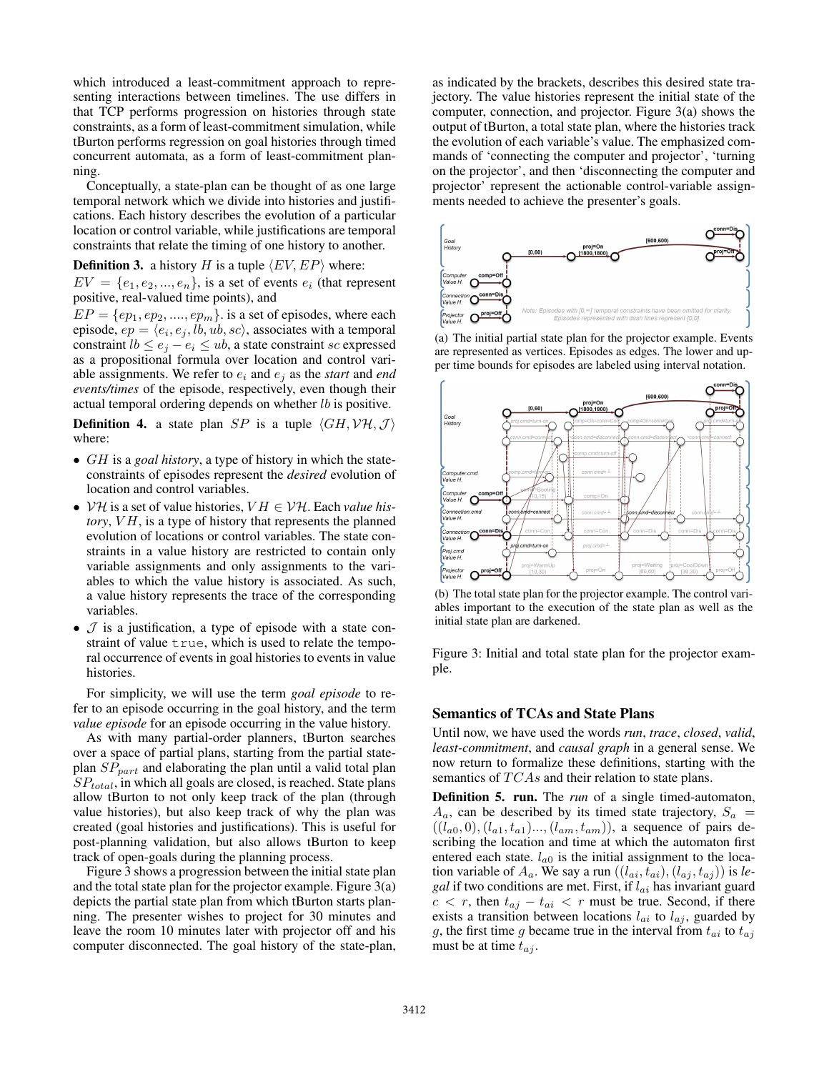which introduced a least-commitment approach to representing interactions between timelines. The use differs in that TCP performs progression on histories through state constraints, as a form of least-commitment simulation, while tBurton performs regression on goal histories through timed concurrent automata, as a form of least-commitment planning.

Conceptually, a state-plan can be thought of as one large temporal network which we divide into histories and justifications. Each history describes the evolution of a particular location or control variable, while justifications are temporal constraints that relate the timing of one history to another.

## **Definition 3.** a history H is a tuple  $\langle EV, EP \rangle$  where:

 $EV = \{e_1, e_2, ..., e_n\}$ , is a set of events  $e_i$  (that represent positive, real-valued time points), and

 $EP = \{ep_1, ep_2, \ldots, ep_m\}$  is a set of episodes, where each episode,  $ep = \langle e_i, e_j, lb, ub, sc \rangle$ , associates with a temporal constraint  $lb \leq e_i - e_i \leq ub$ , a state constraint sc expressed as a propositional formula over location and control variable assignments. We refer to  $e_i$  and  $e_j$  as the *start* and *end events/times* of the episode, respectively, even though their actual temporal ordering depends on whether lb is positive.

**Definition 4.** a state plan SP is a tuple  $\langle GH, VH, J \rangle$ where:

- GH is a *goal history*, a type of history in which the stateconstraints of episodes represent the *desired* evolution of location and control variables.
- $V\mathcal{H}$  is a set of value histories,  $VH \in V\mathcal{H}$ . Each *value history*, *VH*, is a type of history that represents the planned evolution of locations or control variables. The state constraints in a value history are restricted to contain only variable assignments and only assignments to the variables to which the value history is associated. As such, a value history represents the trace of the corresponding variables.
- $\mathcal J$  is a justification, a type of episode with a state constraint of value  $true$ , which is used to relate the temporal occurrence of events in goal histories to events in value histories.

For simplicity, we will use the term *goal episode* to refer to an episode occurring in the goal history, and the term *value episode* for an episode occurring in the value history.

As with many partial-order planners, tBurton searches over a space of partial plans, starting from the partial stateplan  $SP_{part}$  and elaborating the plan until a valid total plan  $SP<sub>total</sub>$ , in which all goals are closed, is reached. State plans allow tBurton to not only keep track of the plan (through value histories), but also keep track of why the plan was created (goal histories and justifications). This is useful for post-planning validation, but also allows tBurton to keep track of open-goals during the planning process.

Figure 3 shows a progression between the initial state plan and the total state plan for the projector example. Figure 3(a) depicts the partial state plan from which tBurton starts planning. The presenter wishes to project for 30 minutes and leave the room 10 minutes later with projector off and his computer disconnected. The goal history of the state-plan,

as indicated by the brackets, describes this desired state trajectory. The value histories represent the initial state of the computer, connection, and projector. Figure 3(a) shows the output of tBurton, a total state plan, where the histories track the evolution of each variable's value. The emphasized commands of 'connecting the computer and projector', 'turning on the projector', and then 'disconnecting the computer and projector' represent the actionable control-variable assignments needed to achieve the presenter's goals.



(a) The initial partial state plan for the projector example. Events are represented as vertices. Episodes as edges. The lower and upper time bounds for episodes are labeled using interval notation.



(b) The total state plan for the projector example. The control variables important to the execution of the state plan as well as the initial state plan are darkened.

Figure 3: Initial and total state plan for the projector example.

## Semantics of TCAs and State Plans

Until now, we have used the words *run*, *trace*, *closed*, *valid*, *least-commitment*, and *causal graph* in a general sense. We now return to formalize these definitions, starting with the semantics of  $TCAs$  and their relation to state plans.

Definition 5. run. The *run* of a single timed-automaton,  $A_a$ , can be described by its timed state trajectory,  $S_a$  =  $((l_{a0}, 0), (l_{a1}, t_{a1})..., (l_{am}, t_{am}))$ , a sequence of pairs describing the location and time at which the automaton first entered each state.  $l_{a0}$  is the initial assignment to the location variable of  $A_a$ . We say a run  $((l_{ai}, t_{ai}), (l_{aj}, t_{aj}))$  is *legal* if two conditions are met. First, if  $l_{ai}$  has invariant guard  $c < r$ , then  $t_{aj} - t_{ai} < r$  must be true. Second, if there exists a transition between locations  $l_{ai}$  to  $l_{aj}$ , guarded by g, the first time g became true in the interval from  $t_{ai}$  to  $t_{aj}$ must be at time  $t_{ai}$ .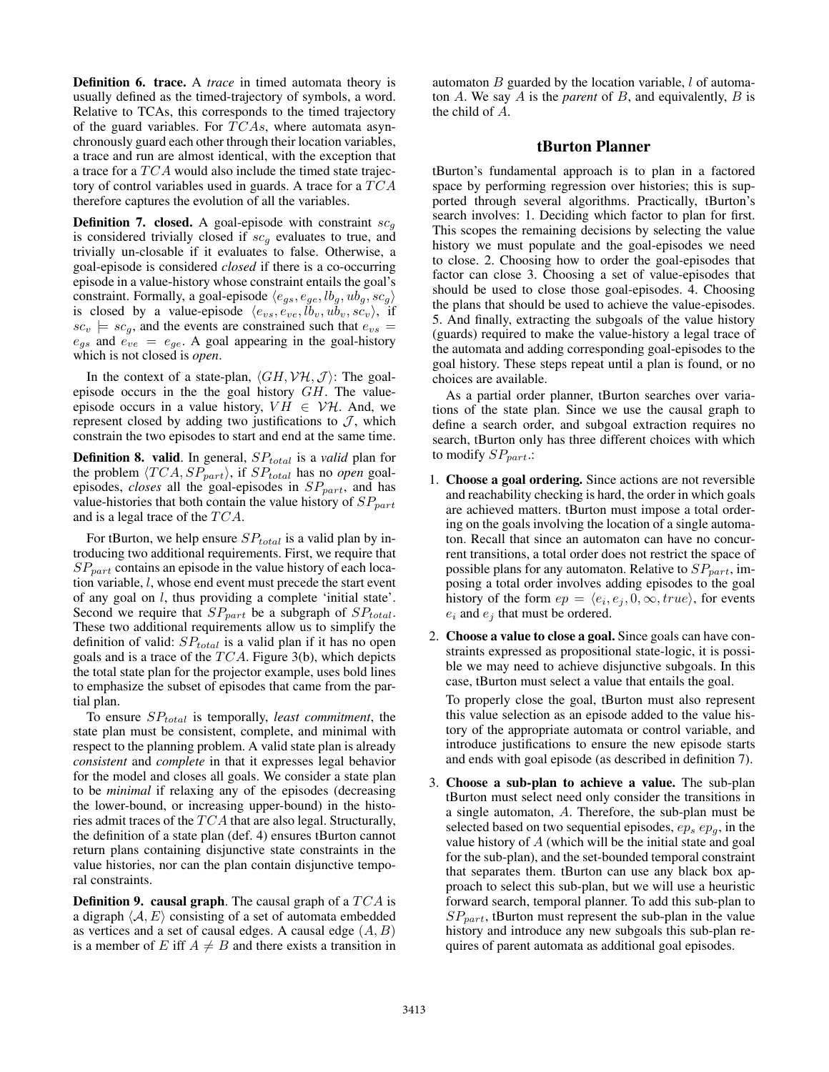Definition 6. trace. A *trace* in timed automata theory is usually defined as the timed-trajectory of symbols, a word. Relative to TCAs, this corresponds to the timed trajectory of the guard variables. For  $TCAs$ , where automata asynchronously guard each other through their location variables, a trace and run are almost identical, with the exception that a trace for a  $TCA$  would also include the timed state trajectory of control variables used in guards. A trace for a  $TCA$ therefore captures the evolution of all the variables.

**Definition 7. closed.** A goal-episode with constraint  $sc_q$ is considered trivially closed if  $sc<sub>g</sub>$  evaluates to true, and trivially un-closable if it evaluates to false. Otherwise, a goal-episode is considered *closed* if there is a co-occurring episode in a value-history whose constraint entails the goal's constraint. Formally, a goal-episode  $\langle e_{gs}, e_{ge}, lb_g, ub_g, sc_g \rangle$ is closed by a value-episode  $\langle e_{vs}, e_{ve}, lb_v, ub_v, sc_v \rangle$ , if  $sc_v$   $\models$   $sc_g$ , and the events are constrained such that  $e_{vs}$  =  $e_{gs}$  and  $e_{ve} = e_{ge}$ . A goal appearing in the goal-history which is not closed is *open*.

In the context of a state-plan,  $\langle GH, VH, J \rangle$ : The goalepisode occurs in the the goal history GH. The valueepisode occurs in a value history,  $VH \in \mathcal{VH}$ . And, we represent closed by adding two justifications to  $J$ , which constrain the two episodes to start and end at the same time.

**Definition 8. valid.** In general,  $SP_{total}$  is a *valid* plan for the problem  $\langle TCA, SP_{part} \rangle$ , if  $SP_{total}$  has no *open* goalepisodes, *closes* all the goal-episodes in  $SP_{part}$ , and has value-histories that both contain the value history of  $SP_{part}$ and is a legal trace of the  $TCA$ .

For tBurton, we help ensure  $SP_{total}$  is a valid plan by introducing two additional requirements. First, we require that  $SP_{part}$  contains an episode in the value history of each location variable, l, whose end event must precede the start event of any goal on  $l$ , thus providing a complete 'initial state'. Second we require that  $SP_{part}$  be a subgraph of  $SP_{total}$ . These two additional requirements allow us to simplify the definition of valid:  $SP_{total}$  is a valid plan if it has no open goals and is a trace of the  $TCA$ . Figure 3(b), which depicts the total state plan for the projector example, uses bold lines to emphasize the subset of episodes that came from the partial plan.

To ensure  $SP<sub>total</sub>$  is temporally, *least commitment*, the state plan must be consistent, complete, and minimal with respect to the planning problem. A valid state plan is already *consistent* and *complete* in that it expresses legal behavior for the model and closes all goals. We consider a state plan to be *minimal* if relaxing any of the episodes (decreasing the lower-bound, or increasing upper-bound) in the histories admit traces of the  $TCA$  that are also legal. Structurally, the definition of a state plan (def. 4) ensures tBurton cannot return plans containing disjunctive state constraints in the value histories, nor can the plan contain disjunctive temporal constraints.

**Definition 9. causal graph.** The causal graph of a  $TCA$  is a digraph  $\langle A, E \rangle$  consisting of a set of automata embedded as vertices and a set of causal edges. A causal edge  $(A, B)$ is a member of E iff  $A \neq B$  and there exists a transition in

automaton  $B$  guarded by the location variable,  $l$  of automaton A. We say A is the *parent* of B, and equivalently, B is the child of A.

## tBurton Planner

tBurton's fundamental approach is to plan in a factored space by performing regression over histories; this is supported through several algorithms. Practically, tBurton's search involves: 1. Deciding which factor to plan for first. This scopes the remaining decisions by selecting the value history we must populate and the goal-episodes we need to close. 2. Choosing how to order the goal-episodes that factor can close 3. Choosing a set of value-episodes that should be used to close those goal-episodes. 4. Choosing the plans that should be used to achieve the value-episodes. 5. And finally, extracting the subgoals of the value history (guards) required to make the value-history a legal trace of the automata and adding corresponding goal-episodes to the goal history. These steps repeat until a plan is found, or no choices are available.

As a partial order planner, tBurton searches over variations of the state plan. Since we use the causal graph to define a search order, and subgoal extraction requires no search, tBurton only has three different choices with which to modify  $SP_{part}$ .:

- 1. Choose a goal ordering. Since actions are not reversible and reachability checking is hard, the order in which goals are achieved matters. tBurton must impose a total ordering on the goals involving the location of a single automaton. Recall that since an automaton can have no concurrent transitions, a total order does not restrict the space of possible plans for any automaton. Relative to  $SP_{part}$ , imposing a total order involves adding episodes to the goal history of the form  $ep = \langle e_i, e_j, 0, \infty, true \rangle$ , for events  $e_i$  and  $e_j$  that must be ordered.
- 2. Choose a value to close a goal. Since goals can have constraints expressed as propositional state-logic, it is possible we may need to achieve disjunctive subgoals. In this case, tBurton must select a value that entails the goal.

To properly close the goal, tBurton must also represent this value selection as an episode added to the value history of the appropriate automata or control variable, and introduce justifications to ensure the new episode starts and ends with goal episode (as described in definition 7).

3. Choose a sub-plan to achieve a value. The sub-plan tBurton must select need only consider the transitions in a single automaton, A. Therefore, the sub-plan must be selected based on two sequential episodes,  $ep_s ep_q$ , in the value history of A (which will be the initial state and goal for the sub-plan), and the set-bounded temporal constraint that separates them. tBurton can use any black box approach to select this sub-plan, but we will use a heuristic forward search, temporal planner. To add this sub-plan to  $SP_{part}$ , tBurton must represent the sub-plan in the value history and introduce any new subgoals this sub-plan requires of parent automata as additional goal episodes.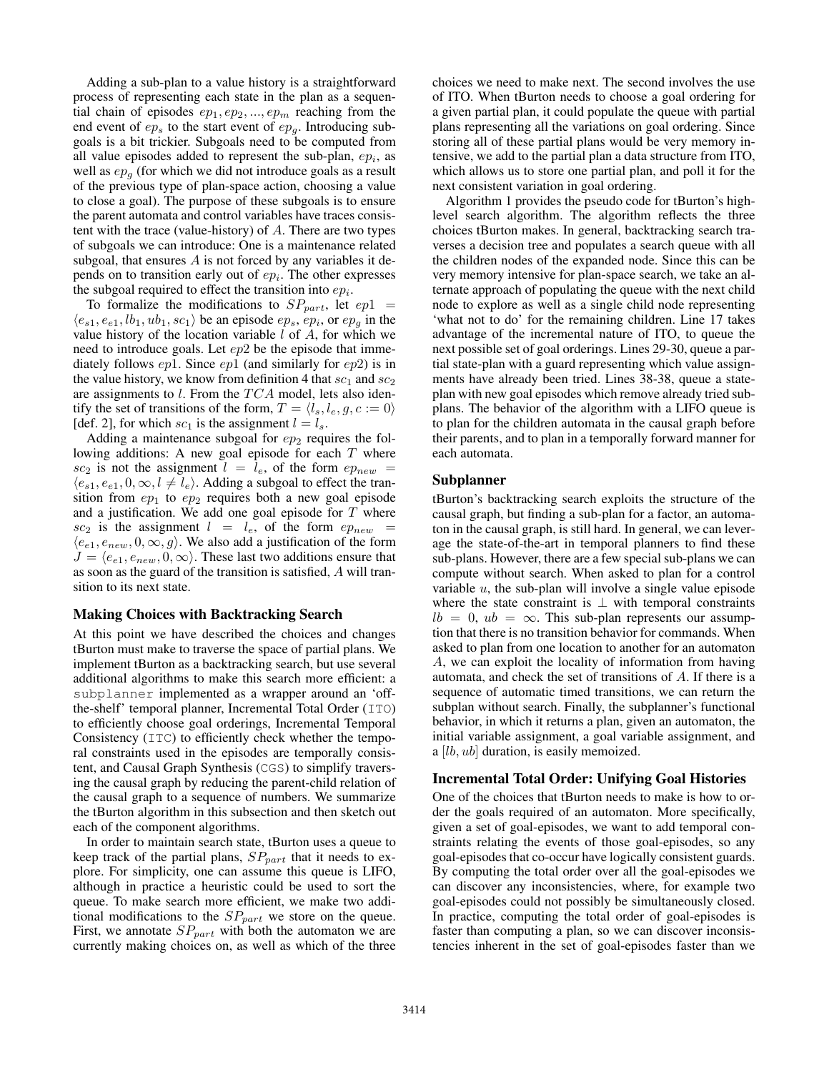Adding a sub-plan to a value history is a straightforward process of representing each state in the plan as a sequential chain of episodes  $ep_1, ep_2, ..., ep_m$  reaching from the end event of  $ep_s$  to the start event of  $ep_a$ . Introducing subgoals is a bit trickier. Subgoals need to be computed from all value episodes added to represent the sub-plan,  $ep<sub>i</sub>$ , as well as  $ep_q$  (for which we did not introduce goals as a result of the previous type of plan-space action, choosing a value to close a goal). The purpose of these subgoals is to ensure the parent automata and control variables have traces consistent with the trace (value-history) of A. There are two types of subgoals we can introduce: One is a maintenance related subgoal, that ensures  $A$  is not forced by any variables it depends on to transition early out of  $ep<sub>i</sub>$ . The other expresses the subgoal required to effect the transition into  $ep_i$ .

To formalize the modifications to  $SP_{part}$ , let  $ep1 =$  $\langle e_{s1}, e_{e1}, lb_1, ub_1, sc_1 \rangle$  be an episode  $ep_s, ep_i,$  or  $ep_g$  in the value history of the location variable  $l$  of  $A$ , for which we need to introduce goals. Let  $ep2$  be the episode that immediately follows  $ep1$ . Since  $ep1$  (and similarly for  $ep2$ ) is in the value history, we know from definition 4 that  $sc_1$  and  $sc_2$ are assignments to  $l$ . From the  $TCA$  model, lets also identify the set of transitions of the form,  $T = \langle l_s, l_e, g, c := 0 \rangle$ [def. 2], for which  $sc_1$  is the assignment  $l = l_s$ .

Adding a maintenance subgoal for  $ep_2$  requires the following additions: A new goal episode for each  $T$  where  $sc_2$  is not the assignment  $l = l_e$ , of the form  $ep_{new}$  $\langle e_{s1}, e_{e1}, 0, \infty, l \neq l_e \rangle$ . Adding a subgoal to effect the transition from  $ep_1$  to  $ep_2$  requires both a new goal episode and a justification. We add one goal episode for  $T$  where  $sc_2$  is the assignment  $l = l_e$ , of the form  $ep_{new}$  $\langle e_{e1}, e_{new}, 0, \infty, g \rangle$ . We also add a justification of the form  $J = \langle e_{e1}, e_{new}, 0, \infty \rangle$ . These last two additions ensure that as soon as the guard of the transition is satisfied, A will transition to its next state.

#### Making Choices with Backtracking Search

At this point we have described the choices and changes tBurton must make to traverse the space of partial plans. We implement tBurton as a backtracking search, but use several additional algorithms to make this search more efficient: a subplanner implemented as a wrapper around an 'offthe-shelf' temporal planner, Incremental Total Order (ITO) to efficiently choose goal orderings, Incremental Temporal Consistency (ITC) to efficiently check whether the temporal constraints used in the episodes are temporally consistent, and Causal Graph Synthesis (CGS) to simplify traversing the causal graph by reducing the parent-child relation of the causal graph to a sequence of numbers. We summarize the tBurton algorithm in this subsection and then sketch out each of the component algorithms.

In order to maintain search state, tBurton uses a queue to keep track of the partial plans,  $SP_{part}$  that it needs to explore. For simplicity, one can assume this queue is LIFO, although in practice a heuristic could be used to sort the queue. To make search more efficient, we make two additional modifications to the  $SP_{part}$  we store on the queue. First, we annotate  $SP_{part}$  with both the automaton we are currently making choices on, as well as which of the three choices we need to make next. The second involves the use of ITO. When tBurton needs to choose a goal ordering for a given partial plan, it could populate the queue with partial plans representing all the variations on goal ordering. Since storing all of these partial plans would be very memory intensive, we add to the partial plan a data structure from ITO, which allows us to store one partial plan, and poll it for the next consistent variation in goal ordering.

Algorithm 1 provides the pseudo code for tBurton's highlevel search algorithm. The algorithm reflects the three choices tBurton makes. In general, backtracking search traverses a decision tree and populates a search queue with all the children nodes of the expanded node. Since this can be very memory intensive for plan-space search, we take an alternate approach of populating the queue with the next child node to explore as well as a single child node representing 'what not to do' for the remaining children. Line 17 takes advantage of the incremental nature of ITO, to queue the next possible set of goal orderings. Lines 29-30, queue a partial state-plan with a guard representing which value assignments have already been tried. Lines 38-38, queue a stateplan with new goal episodes which remove already tried subplans. The behavior of the algorithm with a LIFO queue is to plan for the children automata in the causal graph before their parents, and to plan in a temporally forward manner for each automata.

#### Subplanner

tBurton's backtracking search exploits the structure of the causal graph, but finding a sub-plan for a factor, an automaton in the causal graph, is still hard. In general, we can leverage the state-of-the-art in temporal planners to find these sub-plans. However, there are a few special sub-plans we can compute without search. When asked to plan for a control variable  $u$ , the sub-plan will involve a single value episode where the state constraint is  $\perp$  with temporal constraints  $lb = 0$ ,  $ub = \infty$ . This sub-plan represents our assumption that there is no transition behavior for commands. When asked to plan from one location to another for an automaton A, we can exploit the locality of information from having automata, and check the set of transitions of A. If there is a sequence of automatic timed transitions, we can return the subplan without search. Finally, the subplanner's functional behavior, in which it returns a plan, given an automaton, the initial variable assignment, a goal variable assignment, and a [lb, ub] duration, is easily memoized.

#### Incremental Total Order: Unifying Goal Histories

One of the choices that tBurton needs to make is how to order the goals required of an automaton. More specifically, given a set of goal-episodes, we want to add temporal constraints relating the events of those goal-episodes, so any goal-episodes that co-occur have logically consistent guards. By computing the total order over all the goal-episodes we can discover any inconsistencies, where, for example two goal-episodes could not possibly be simultaneously closed. In practice, computing the total order of goal-episodes is faster than computing a plan, so we can discover inconsistencies inherent in the set of goal-episodes faster than we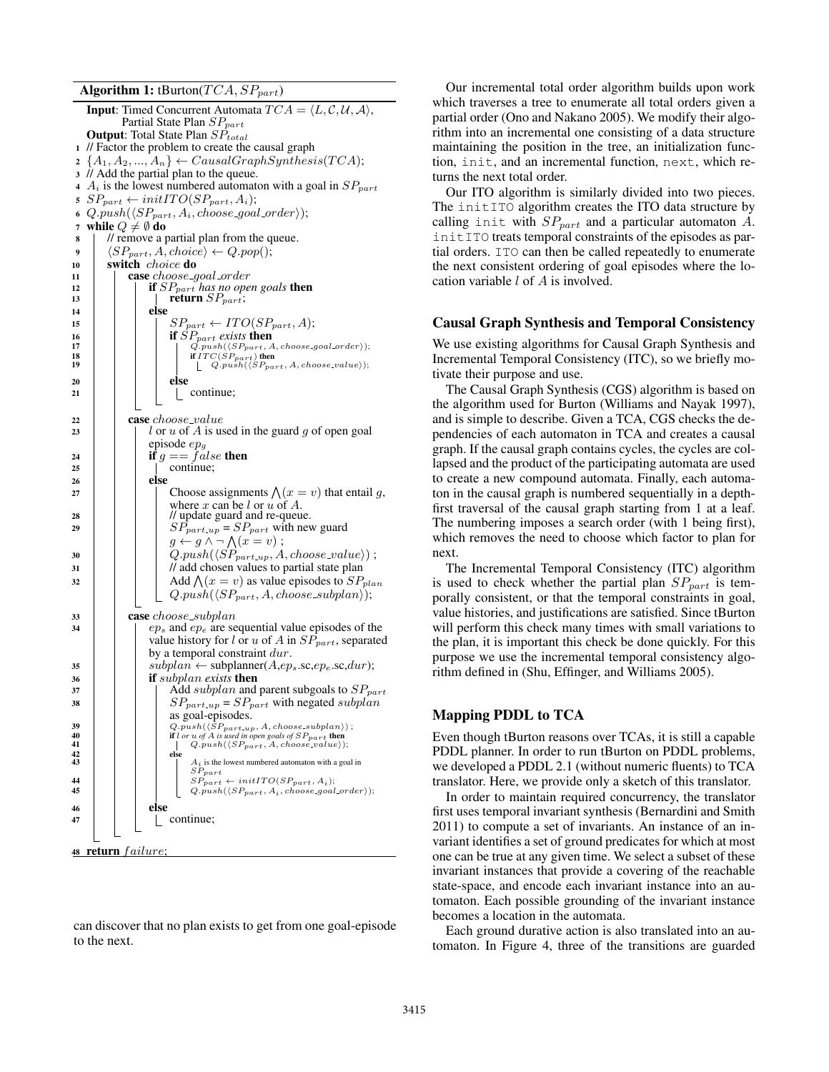Algorithm 1: tBurton( $TCA, SP_{part}$ )

**Input:** Timed Concurrent Automata  $TCA = \langle L, C, U, A \rangle$ , Partial State Plan  $SP_{part}$ **Output:** Total State Plan  $SP_{total}$ <sup>1</sup> // Factor the problem to create the causal graph  $2 \{A_1, A_2, ..., A_n\} \leftarrow CausalGraphSynthesis(TCA);$ <sup>3</sup> // Add the partial plan to the queue. 4  $A_i$  is the lowest numbered automaton with a goal in  $SP_{part}$ 5  $SP_{part} \leftarrow initITO(SP_{part}, A_i);$ 6 Q.push $(\langle SP_{part}, A_i, choose\_goal\_order \rangle);$ 7 while  $Q \neq \emptyset$  do 8 / // remove a partial plan from the queue. 9 |  $\langle SP_{part}, A, choice \rangle \leftarrow Q.pop();$ 10 **switch** choice **do**  $\begin{array}{c|c} \n\text{11} & \text{case choose\_goal\_order} \\
\hline\n\text{12} & \text{if } SP_{part} \text{ has no one.}\n\end{array}$ if  $SP_{part}$ *has no open goals* then 13 | | | | return  $SP_{part}$ ;  $14$  else 15  $\vert$   $\vert$   $\vert$   $SP_{part} \leftarrow ITO(SP_{part}, A);$ 16 **if**  $SP_{part}$  *exists* then<br>  $P_{part}(SP_{part}, A, choose\_goal-order)$ ; 18 if  $ITC(SP_{part})$  then<br>
19 if  $Q.push(\langle SP_{part}, A, choose_value \rangle);$  $\begin{array}{c|c|c|c} 20 & & & \end{array}$  else | continue; 22 **case** choose\_value 23 | | |  $\iota$  or  $u$  of  $A$  is used in the guard  $q$  of open goal episode  $ep_g$ 24  $\left|\right|$   $\left|\right|$  if  $g == \overline{f}$  alse then continue;  $26$  else 27 | | | Choose assignments  $\bigwedge (x = v)$  that entail g, where  $x$  can be  $l$  or  $u$  of  $A$ .  $28$  | | |  $\frac{1}{28}$  |  $\frac{1}{28}$  |  $\frac{1}{28}$  |  $\frac{1}{28}$  |  $\frac{1}{28}$  |  $\frac{1}{28}$  |  $\frac{1}{28}$  |  $\frac{1}{28}$  |  $\frac{1}{28}$  |  $\frac{1}{28}$  |  $\frac{1}{28}$  |  $\frac{1}{28}$  |  $\frac{1}{28}$  |  $\frac{1}{28}$  |  $\frac{1}{28}$  |  $\frac{1}{28}$  |  $\$ 29 | | |  $SP_{part-up} = SP_{part}$  with new guard  $g \leftarrow g \land \neg \bigwedge (x = v)$ ;  $\begin{array}{|c|c|c|c|}\n\hline\n30 & & Q.push(\langle SP_{part.up}, A, choose\_value \rangle) \; ;\n\end{array}$ <sup>31</sup> // add chosen values to partial state plan 32  $\Box$  Add  $\Lambda(x = v)$  as value episodes to  $SP_{plan}$  $Q.push(\langle SP_{part}, A, choose\_subplan \rangle);$  $33$  case choose\_subplan  $34$  | |  $ep_s$  and  $ep_e$  are sequential value episodes of the value history for l or u of A in  $SP_{part}$ , separated by a temporal constraint dur.  $\begin{array}{c|c|c} \text{35} & | & | & \text{subplan} \leftarrow \text{subplanner}(A, ep_s.\text{sc},ep_e.\text{sc},dur); \end{array}$ <sup>36</sup> if subplan *exists* then  $\overline{37}$  | | |  $\overline{1}$  Add subplan and parent subgoals to  $SP_{part}$ <sup>38</sup> SPpart up = SPpart with negated subplan as goal-episodes. 39 Q.push( $\langle SP_{part. up}, A, choose.subplan \rangle$ );<br>
40 if *i or u of A* is used in open goals of  $SP_{part}$ , then<br>  $Q. push(\langle SP_{part}, A, choose.value \rangle)$ ;  $\begin{array}{c|c|c|c|c} 41 & & & & & \end{array}$ <br>  $\begin{array}{c|c|c} 42 & & & \end{array}$  else  $A_i$  is the lowest numbered automaton with a goal in  $\begin{array}{c|c} \textbf{44} & & S P_{part} \ \textbf{45} & & S P_{part} \leftarrow initITO(SP_{part}, A_i); \ \textbf{46} & Q.push(\langle SP_{part}, A_i, choose\_goal\_order \rangle); \end{array}$  $\frac{46}{47}$  else continue; 48 return failure;

can discover that no plan exists to get from one goal-episode to the next.

Our incremental total order algorithm builds upon work which traverses a tree to enumerate all total orders given a partial order (Ono and Nakano 2005). We modify their algorithm into an incremental one consisting of a data structure maintaining the position in the tree, an initialization function, init, and an incremental function, next, which returns the next total order.

Our ITO algorithm is similarly divided into two pieces. The initITO algorithm creates the ITO data structure by calling init with  $SP_{part}$  and a particular automaton A. initITO treats temporal constraints of the episodes as partial orders. ITO can then be called repeatedly to enumerate the next consistent ordering of goal episodes where the location variable l of A is involved.

#### Causal Graph Synthesis and Temporal Consistency

We use existing algorithms for Causal Graph Synthesis and Incremental Temporal Consistency (ITC), so we briefly motivate their purpose and use.

The Causal Graph Synthesis (CGS) algorithm is based on the algorithm used for Burton (Williams and Nayak 1997), and is simple to describe. Given a TCA, CGS checks the dependencies of each automaton in TCA and creates a causal graph. If the causal graph contains cycles, the cycles are collapsed and the product of the participating automata are used to create a new compound automata. Finally, each automaton in the causal graph is numbered sequentially in a depthfirst traversal of the causal graph starting from 1 at a leaf. The numbering imposes a search order (with 1 being first), which removes the need to choose which factor to plan for next.

The Incremental Temporal Consistency (ITC) algorithm is used to check whether the partial plan  $SP_{part}$  is temporally consistent, or that the temporal constraints in goal, value histories, and justifications are satisfied. Since tBurton will perform this check many times with small variations to the plan, it is important this check be done quickly. For this purpose we use the incremental temporal consistency algorithm defined in (Shu, Effinger, and Williams 2005).

## Mapping PDDL to TCA

Even though tBurton reasons over TCAs, it is still a capable PDDL planner. In order to run tBurton on PDDL problems, we developed a PDDL 2.1 (without numeric fluents) to TCA translator. Here, we provide only a sketch of this translator.

In order to maintain required concurrency, the translator first uses temporal invariant synthesis (Bernardini and Smith 2011) to compute a set of invariants. An instance of an invariant identifies a set of ground predicates for which at most one can be true at any given time. We select a subset of these invariant instances that provide a covering of the reachable state-space, and encode each invariant instance into an automaton. Each possible grounding of the invariant instance becomes a location in the automata.

Each ground durative action is also translated into an automaton. In Figure 4, three of the transitions are guarded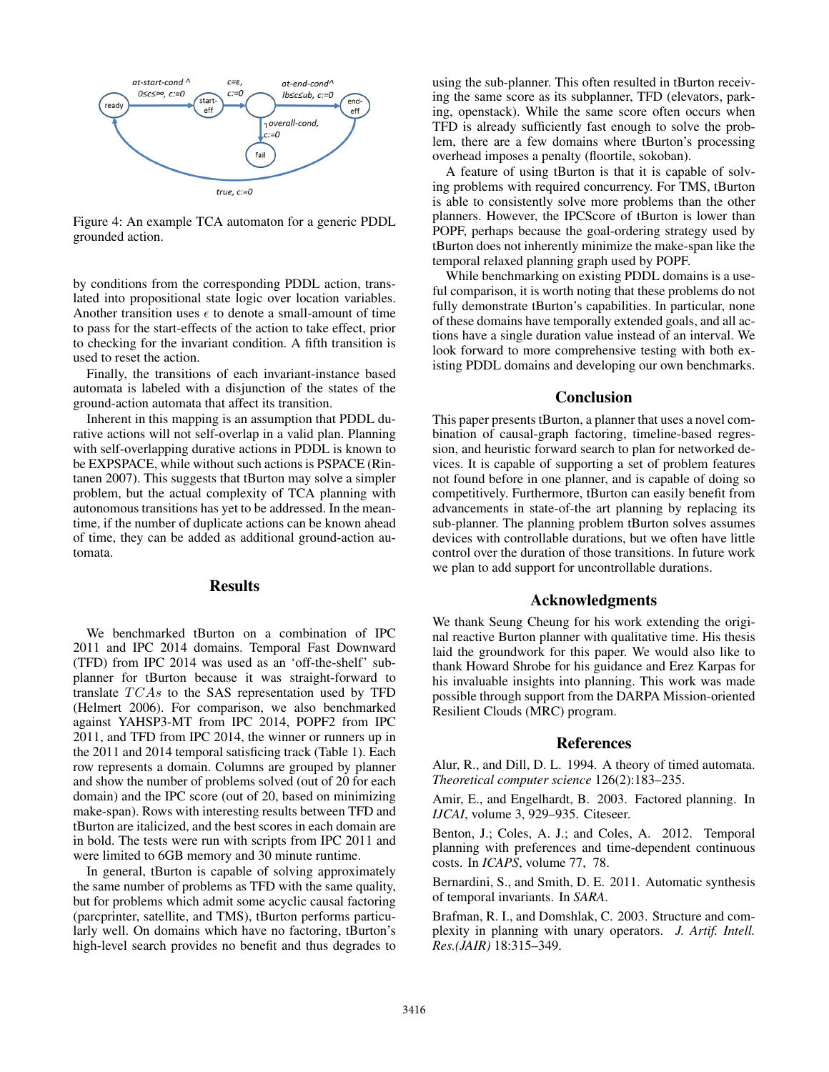

Figure 4: An example TCA automaton for a generic PDDL grounded action.

by conditions from the corresponding PDDL action, translated into propositional state logic over location variables. Another transition uses  $\epsilon$  to denote a small-amount of time to pass for the start-effects of the action to take effect, prior to checking for the invariant condition. A fifth transition is used to reset the action.

Finally, the transitions of each invariant-instance based automata is labeled with a disjunction of the states of the ground-action automata that affect its transition.

Inherent in this mapping is an assumption that PDDL durative actions will not self-overlap in a valid plan. Planning with self-overlapping durative actions in PDDL is known to be EXPSPACE, while without such actions is PSPACE (Rintanen 2007). This suggests that tBurton may solve a simpler problem, but the actual complexity of TCA planning with autonomous transitions has yet to be addressed. In the meantime, if the number of duplicate actions can be known ahead of time, they can be added as additional ground-action automata.

## Results

We benchmarked tBurton on a combination of IPC 2011 and IPC 2014 domains. Temporal Fast Downward (TFD) from IPC 2014 was used as an 'off-the-shelf' subplanner for tBurton because it was straight-forward to translate  $TCAs$  to the SAS representation used by TFD (Helmert 2006). For comparison, we also benchmarked against YAHSP3-MT from IPC 2014, POPF2 from IPC 2011, and TFD from IPC 2014, the winner or runners up in the 2011 and 2014 temporal satisficing track (Table 1). Each row represents a domain. Columns are grouped by planner and show the number of problems solved (out of 20 for each domain) and the IPC score (out of 20, based on minimizing make-span). Rows with interesting results between TFD and tBurton are italicized, and the best scores in each domain are in bold. The tests were run with scripts from IPC 2011 and were limited to 6GB memory and 30 minute runtime.

In general, tBurton is capable of solving approximately the same number of problems as TFD with the same quality, but for problems which admit some acyclic causal factoring (parcprinter, satellite, and TMS), tBurton performs particularly well. On domains which have no factoring, tBurton's high-level search provides no benefit and thus degrades to using the sub-planner. This often resulted in tBurton receiving the same score as its subplanner, TFD (elevators, parking, openstack). While the same score often occurs when TFD is already sufficiently fast enough to solve the problem, there are a few domains where tBurton's processing overhead imposes a penalty (floortile, sokoban).

A feature of using tBurton is that it is capable of solving problems with required concurrency. For TMS, tBurton is able to consistently solve more problems than the other planners. However, the IPCScore of tBurton is lower than POPF, perhaps because the goal-ordering strategy used by tBurton does not inherently minimize the make-span like the temporal relaxed planning graph used by POPF.

While benchmarking on existing PDDL domains is a useful comparison, it is worth noting that these problems do not fully demonstrate tBurton's capabilities. In particular, none of these domains have temporally extended goals, and all actions have a single duration value instead of an interval. We look forward to more comprehensive testing with both existing PDDL domains and developing our own benchmarks.

## Conclusion

This paper presents tBurton, a planner that uses a novel combination of causal-graph factoring, timeline-based regression, and heuristic forward search to plan for networked devices. It is capable of supporting a set of problem features not found before in one planner, and is capable of doing so competitively. Furthermore, tBurton can easily benefit from advancements in state-of-the art planning by replacing its sub-planner. The planning problem tBurton solves assumes devices with controllable durations, but we often have little control over the duration of those transitions. In future work we plan to add support for uncontrollable durations.

## Acknowledgments

We thank Seung Cheung for his work extending the original reactive Burton planner with qualitative time. His thesis laid the groundwork for this paper. We would also like to thank Howard Shrobe for his guidance and Erez Karpas for his invaluable insights into planning. This work was made possible through support from the DARPA Mission-oriented Resilient Clouds (MRC) program.

### References

Alur, R., and Dill, D. L. 1994. A theory of timed automata. *Theoretical computer science* 126(2):183–235.

Amir, E., and Engelhardt, B. 2003. Factored planning. In *IJCAI*, volume 3, 929–935. Citeseer.

Benton, J.; Coles, A. J.; and Coles, A. 2012. Temporal planning with preferences and time-dependent continuous costs. In *ICAPS*, volume 77, 78.

Bernardini, S., and Smith, D. E. 2011. Automatic synthesis of temporal invariants. In *SARA*.

Brafman, R. I., and Domshlak, C. 2003. Structure and complexity in planning with unary operators. *J. Artif. Intell. Res.(JAIR)* 18:315–349.